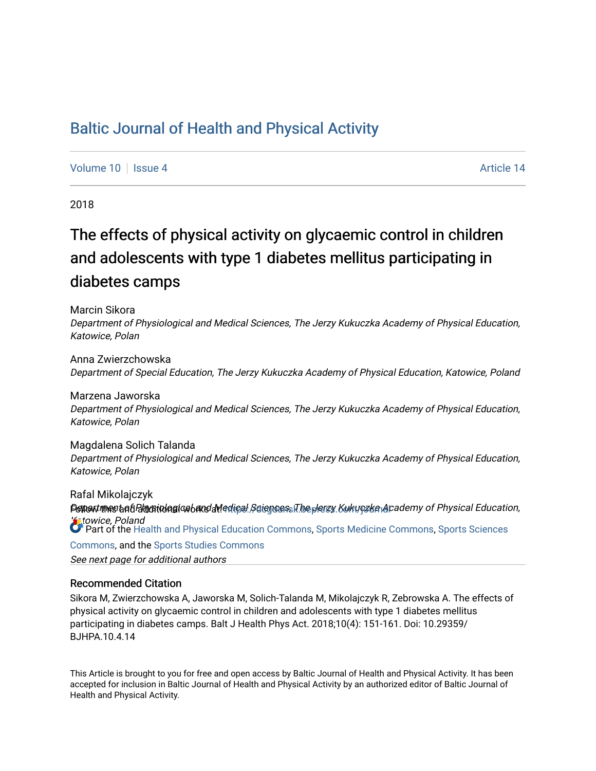## [Baltic Journal of Health and Physical Activity](https://dcgdansk.bepress.com/journal)

[Volume 10](https://dcgdansk.bepress.com/journal/vol10) | [Issue 4](https://dcgdansk.bepress.com/journal/vol10/iss4) Article 14

2018

# The effects of physical activity on glycaemic control in children and adolescents with type 1 diabetes mellitus participating in diabetes camps

Marcin Sikora

Department of Physiological and Medical Sciences, The Jerzy Kukuczka Academy of Physical Education, Katowice, Polan

Anna Zwierzchowska Department of Special Education, The Jerzy Kukuczka Academy of Physical Education, Katowice, Poland

Marzena Jaworska Department of Physiological and Medical Sciences, The Jerzy Kukuczka Academy of Physical Education, Katowice, Polan

Magdalena Solich Talanda Department of Physiological and Medical Sciences, The Jerzy Kukuczka Academy of Physical Education, Katowice, Polan

Rafal Mikolajczyk Demantmasta ti Blayatiolagica banel aviedigal Sciencess The plerzy Kukugzka Academy of Physical Education, **Katowice, Poland** Part of the [Health and Physical Education Commons](http://network.bepress.com/hgg/discipline/1327?utm_source=dcgdansk.bepress.com%2Fjournal%2Fvol10%2Fiss4%2F14&utm_medium=PDF&utm_campaign=PDFCoverPages), [Sports Medicine Commons,](http://network.bepress.com/hgg/discipline/1331?utm_source=dcgdansk.bepress.com%2Fjournal%2Fvol10%2Fiss4%2F14&utm_medium=PDF&utm_campaign=PDFCoverPages) [Sports Sciences](http://network.bepress.com/hgg/discipline/759?utm_source=dcgdansk.bepress.com%2Fjournal%2Fvol10%2Fiss4%2F14&utm_medium=PDF&utm_campaign=PDFCoverPages) [Commons](http://network.bepress.com/hgg/discipline/759?utm_source=dcgdansk.bepress.com%2Fjournal%2Fvol10%2Fiss4%2F14&utm_medium=PDF&utm_campaign=PDFCoverPages), and the [Sports Studies Commons](http://network.bepress.com/hgg/discipline/1198?utm_source=dcgdansk.bepress.com%2Fjournal%2Fvol10%2Fiss4%2F14&utm_medium=PDF&utm_campaign=PDFCoverPages) 

See next page for additional authors

#### Recommended Citation

Sikora M, Zwierzchowska A, Jaworska M, Solich-Talanda M, Mikolajczyk R, Zebrowska A. The effects of physical activity on glycaemic control in children and adolescents with type 1 diabetes mellitus participating in diabetes camps. Balt J Health Phys Act. 2018;10(4): 151-161. Doi: 10.29359/ BJHPA.10.4.14

This Article is brought to you for free and open access by Baltic Journal of Health and Physical Activity. It has been accepted for inclusion in Baltic Journal of Health and Physical Activity by an authorized editor of Baltic Journal of Health and Physical Activity.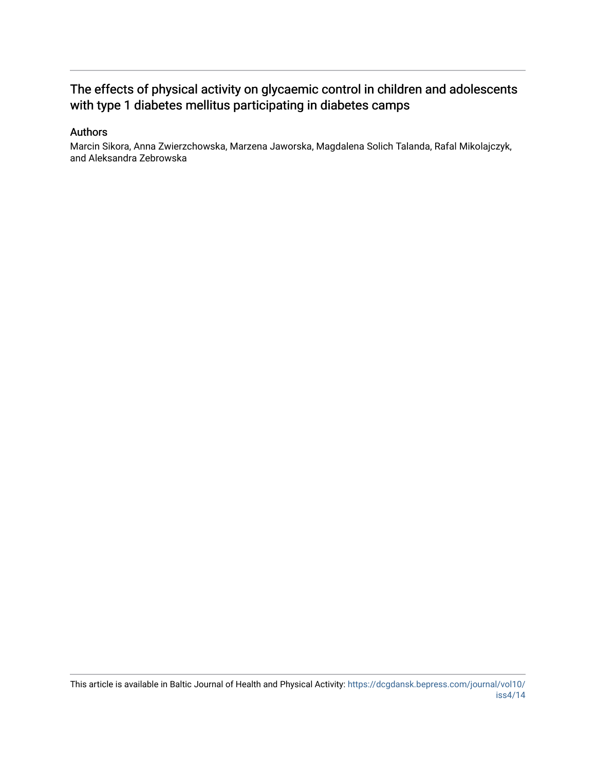## The effects of physical activity on glycaemic control in children and adolescents with type 1 diabetes mellitus participating in diabetes camps

## Authors

Marcin Sikora, Anna Zwierzchowska, Marzena Jaworska, Magdalena Solich Talanda, Rafal Mikolajczyk, and Aleksandra Zebrowska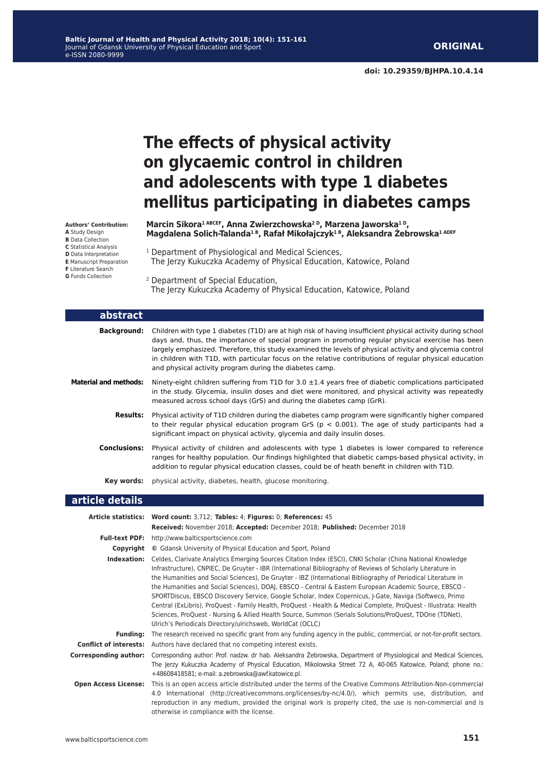# **The effects of physical activity on glycaemic control in children and adolescents with type 1 diabetes mellitus participating in diabetes camps**

**Marcin Sikora1 ABCEF, Anna Zwierzchowska2 D, Marzena Jaworska1 D, Magdalena Solich-Talanda1 B, Rafał Mikołajczyk1 B, Aleksandra Żebrowska1 ADEF**

<sup>1</sup> Department of Physiological and Medical Sciences, The Jerzy Kukuczka Academy of Physical Education, Katowice, Poland

2 Department of Special Education, The Jerzy Kukuczka Academy of Physical Education, Katowice, Poland

| abstract                     |                                                                                                                                                                                                                                                                                                                                                                                                                                                                                                   |
|------------------------------|---------------------------------------------------------------------------------------------------------------------------------------------------------------------------------------------------------------------------------------------------------------------------------------------------------------------------------------------------------------------------------------------------------------------------------------------------------------------------------------------------|
| <b>Background:</b>           | Children with type 1 diabetes (T1D) are at high risk of having insufficient physical activity during school<br>days and, thus, the importance of special program in promoting regular physical exercise has been<br>largely emphasized. Therefore, this study examined the levels of physical activity and glycemia control<br>in children with T1D, with particular focus on the relative contributions of regular physical education<br>and physical activity program during the diabetes camp. |
| <b>Material and methods:</b> | Ninety-eight children suffering from T1D for 3.0 $\pm$ 1.4 years free of diabetic complications participated<br>in the study. Glycemia, insulin doses and diet were monitored, and physical activity was repeatedly<br>measured across school days (GrS) and during the diabetes camp (GrR).                                                                                                                                                                                                      |
| <b>Results:</b>              | Physical activity of T1D children during the diabetes camp program were significantly higher compared<br>to their regular physical education program GrS ( $p < 0.001$ ). The age of study participants had a<br>significant impact on physical activity, glycemia and daily insulin doses.                                                                                                                                                                                                       |
| <b>Conclusions:</b>          | Physical activity of children and adolescents with type 1 diabetes is lower compared to reference<br>ranges for healthy population. Our findings highlighted that diabetic camps-based physical activity, in<br>addition to regular physical education classes, could be of heath benefit in children with T1D.                                                                                                                                                                                   |
| Key words:                   | physical activity, diabetes, health, glucose monitoring.                                                                                                                                                                                                                                                                                                                                                                                                                                          |

### **article details**

|                              | Article statistics: Word count: 3,712; Tables: 4; Figures: 0; References: 45                                                                                                                                                                                                                                                                                                                                                                                                                                                                                                                                                                                                                                                                                                                                                                                  |
|------------------------------|---------------------------------------------------------------------------------------------------------------------------------------------------------------------------------------------------------------------------------------------------------------------------------------------------------------------------------------------------------------------------------------------------------------------------------------------------------------------------------------------------------------------------------------------------------------------------------------------------------------------------------------------------------------------------------------------------------------------------------------------------------------------------------------------------------------------------------------------------------------|
|                              | Received: November 2018; Accepted: December 2018; Published: December 2018                                                                                                                                                                                                                                                                                                                                                                                                                                                                                                                                                                                                                                                                                                                                                                                    |
|                              | <b>Full-text PDF:</b> http://www.balticsportscience.com                                                                                                                                                                                                                                                                                                                                                                                                                                                                                                                                                                                                                                                                                                                                                                                                       |
| Copyright                    | © Gdansk University of Physical Education and Sport, Poland                                                                                                                                                                                                                                                                                                                                                                                                                                                                                                                                                                                                                                                                                                                                                                                                   |
| Indexation:                  | Celdes, Clarivate Analytics Emerging Sources Citation Index (ESCI), CNKI Scholar (China National Knowledge<br>Infrastructure), CNPIEC, De Gruyter - IBR (International Bibliography of Reviews of Scholarly Literature in<br>the Humanities and Social Sciences), De Gruyter - IBZ (International Bibliography of Periodical Literature in<br>the Humanities and Social Sciences), DOAJ, EBSCO - Central & Eastern European Academic Source, EBSCO -<br>SPORTDiscus, EBSCO Discovery Service, Google Scholar, Index Copernicus, J-Gate, Naviga (Softweco, Primo<br>Central (ExLibris), ProQuest - Family Health, ProQuest - Health & Medical Complete, ProQuest - Illustrata: Health<br>Sciences, ProQuest - Nursing & Allied Health Source, Summon (Serials Solutions/ProQuest, TDOne (TDNet),<br>Ulrich's Periodicals Directory/ulrichsweb, WorldCat (OCLC) |
| <b>Funding:</b>              | The research received no specific grant from any funding agency in the public, commercial, or not-for-profit sectors.                                                                                                                                                                                                                                                                                                                                                                                                                                                                                                                                                                                                                                                                                                                                         |
|                              | <b>Conflict of interests:</b> Authors have declared that no competing interest exists.                                                                                                                                                                                                                                                                                                                                                                                                                                                                                                                                                                                                                                                                                                                                                                        |
| <b>Corresponding author:</b> | Corresponding author: Prof. nadzw. dr hab. Aleksandra Zebrowska, Department of Physiological and Medical Sciences,<br>The Jerzy Kukuczka Academy of Physical Education, Mikolowska Street 72 A, 40-065 Katowice, Poland; phone no.:<br>+48608418581; e-mail: a.zebrowska@awf.katowice.pl.                                                                                                                                                                                                                                                                                                                                                                                                                                                                                                                                                                     |
| <b>Open Access License:</b>  | This is an open access article distributed under the terms of the Creative Commons Attribution-Non-commercial<br>4.0 International (http://creativecommons.org/licenses/by-nc/4.0/), which permits use, distribution, and<br>reproduction in any medium, provided the original work is properly cited, the use is non-commercial and is<br>otherwise in compliance with the license.                                                                                                                                                                                                                                                                                                                                                                                                                                                                          |

**A** Study Design **B** Data Collection **C** Statistical Analysis **D** Data Interpretation

**Authors' Contribution:**

- **E** Manuscript Preparation
- **F** Literature Search
- **G** Funds Collection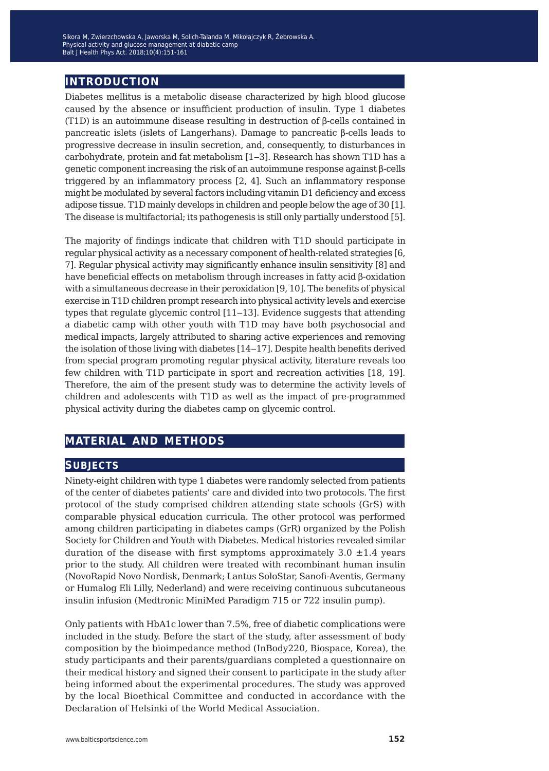## **introduction**

Diabetes mellitus is a metabolic disease characterized by high blood glucose caused by the absence or insufficient production of insulin. Type 1 diabetes (T1D) is an autoimmune disease resulting in destruction of β-cells contained in pancreatic islets (islets of Langerhans). Damage to pancreatic β-cells leads to progressive decrease in insulin secretion, and, consequently, to disturbances in carbohydrate, protein and fat metabolism [1‒3]. Research has shown T1D has a genetic component increasing the risk of an autoimmune response against β-cells triggered by an inflammatory process [2, 4]. Such an inflammatory response might be modulated by several factors including vitamin D1 deficiency and excess adipose tissue. T1D mainly develops in children and people below the age of 30 [1]. The disease is multifactorial; its pathogenesis is still only partially understood [5].

The majority of findings indicate that children with T1D should participate in regular physical activity as a necessary component of health-related strategies [6, 7]. Regular physical activity may significantly enhance insulin sensitivity [8] and have beneficial effects on metabolism through increases in fatty acid β-oxidation with a simultaneous decrease in their peroxidation [9, 10]. The benefits of physical exercise in T1D children prompt research into physical activity levels and exercise types that regulate glycemic control [11–13]. Evidence suggests that attending a diabetic camp with other youth with T1D may have both psychosocial and medical impacts, largely attributed to sharing active experiences and removing the isolation of those living with diabetes [14–17]. Despite health benefits derived from special program promoting regular physical activity, literature reveals too few children with T1D participate in sport and recreation activities [18, 19]. Therefore, the aim of the present study was to determine the activity levels of children and adolescents with T1D as well as the impact of pre-programmed physical activity during the diabetes camp on glycemic control.

## **material and methods**

## **subjects**

Ninety-eight children with type 1 diabetes were randomly selected from patients of the center of diabetes patients' care and divided into two protocols. The first protocol of the study comprised children attending state schools (GrS) with comparable physical education curricula. The other protocol was performed among children participating in diabetes camps (GrR) organized by the Polish Society for Children and Youth with Diabetes. Medical histories revealed similar duration of the disease with first symptoms approximately  $3.0 \pm 1.4$  years prior to the study. All children were treated with recombinant human insulin (NovoRapid Novo Nordisk, Denmark; Lantus SoloStar, Sanofi-Aventis, Germany or Humalog Eli Lilly, Nederland) and were receiving continuous subcutaneous insulin infusion (Medtronic MiniMed Paradigm 715 or 722 insulin pump).

Only patients with HbA1c lower than 7.5%, free of diabetic complications were included in the study. Before the start of the study, after assessment of body composition by the bioimpedance method (InBody220, Biospace, Korea), the study participants and their parents/guardians completed a questionnaire on their medical history and signed their consent to participate in the study after being informed about the experimental procedures. The study was approved by the local Bioethical Committee and conducted in accordance with the Declaration of Helsinki of the World Medical Association.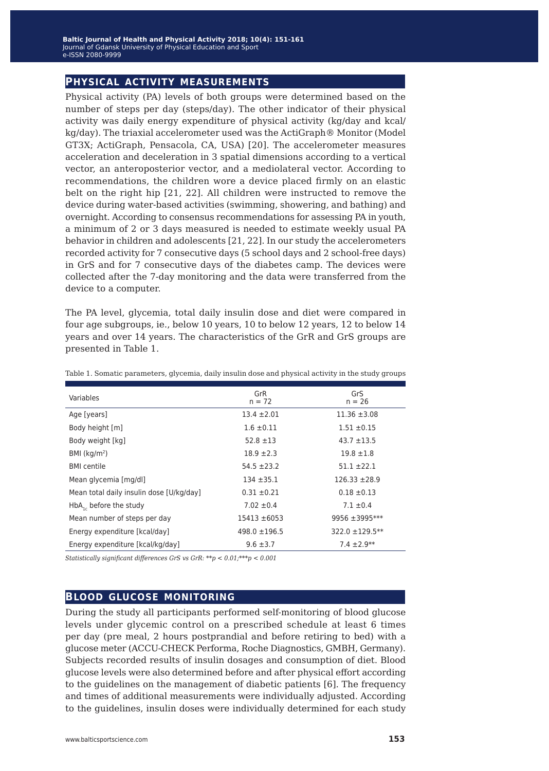## **physical activity measurements**

Physical activity (PA) levels of both groups were determined based on the number of steps per day (steps/day). The other indicator of their physical activity was daily energy expenditure of physical activity (kg/day and kcal/ kg/day). The triaxial accelerometer used was the ActiGraph® Monitor (Model GT3X; ActiGraph, Pensacola, CA, USA) [20]. The accelerometer measures acceleration and deceleration in 3 spatial dimensions according to a vertical vector, an anteroposterior vector, and a mediolateral vector. According to recommendations, the children wore a device placed firmly on an elastic belt on the right hip [21, 22]. All children were instructed to remove the device during water-based activities (swimming, showering, and bathing) and overnight. According to consensus recommendations for assessing PA in youth, a minimum of 2 or 3 days measured is needed to estimate weekly usual PA behavior in children and adolescents [21, 22]. In our study the accelerometers recorded activity for 7 consecutive days (5 school days and 2 school-free days) in GrS and for 7 consecutive days of the diabetes camp. The devices were collected after the 7-day monitoring and the data were transferred from the device to a computer.

The PA level, glycemia, total daily insulin dose and diet were compared in four age subgroups, ie., below 10 years, 10 to below 12 years, 12 to below 14 years and over 14 years. The characteristics of the GrR and GrS groups are presented in Table 1.

| Variables                                | GrR<br>$n = 72$   | GrS<br>$n = 26$   |
|------------------------------------------|-------------------|-------------------|
| Age [years]                              | $13.4 \pm 2.01$   | $11.36 \pm 3.08$  |
| Body height [m]                          | $1.6 \pm 0.11$    | $1.51 \pm 0.15$   |
| Body weight [kg]                         | $52.8 \pm 13$     | $43.7 \pm 13.5$   |
| BMI ( $kg/m2$ )                          | $18.9 \pm 2.3$    | $19.8 \pm 1.8$    |
| <b>BMI</b> centile                       | $54.5 \pm 23.2$   | $51.1 \pm 22.1$   |
| Mean glycemia [mg/dl]                    | $134 + 35.1$      | $126.33 \pm 28.9$ |
| Mean total daily insulin dose [U/kg/day] | $0.31 \pm 0.21$   | $0.18 \pm 0.13$   |
| $HbA_{1c}$ before the study              | $7.02 \pm 0.4$    | $7.1 \pm 0.4$     |
| Mean number of steps per day             | $15413 \pm 6053$  | 9956 ±3995***     |
| Energy expenditure [kcal/day]            | $498.0 \pm 196.5$ | 322.0 ±129.5**    |
| Energy expenditure [kcal/kg/day]         | $9.6 \pm 3.7$     | $7.4 \pm 2.9**$   |

Table 1. Somatic parameters, glycemia, daily insulin dose and physical activity in the study groups

*Statistically significant differences GrS vs GrR: \*\*p < 0.01;\*\*\*p < 0.001*

## **blood glucose monitoring**

During the study all participants performed self-monitoring of blood glucose levels under glycemic control on a prescribed schedule at least 6 times per day (pre meal, 2 hours postprandial and before retiring to bed) with a glucose meter (ACCU-CHECK Performa, Roche Diagnostics, GMBH, Germany). Subjects recorded results of insulin dosages and consumption of diet. Blood glucose levels were also determined before and after physical effort according to the guidelines on the management of diabetic patients [6]. The frequency and times of additional measurements were individually adjusted. According to the guidelines, insulin doses were individually determined for each study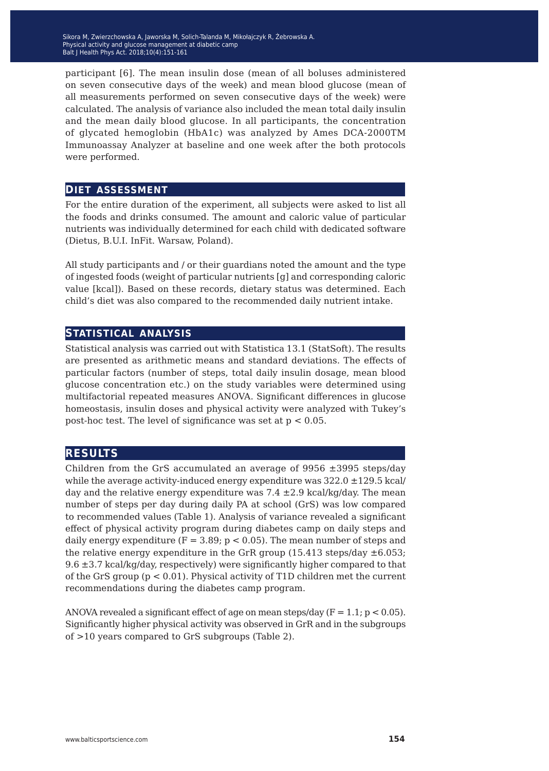participant [6]. The mean insulin dose (mean of all boluses administered on seven consecutive days of the week) and mean blood glucose (mean of all measurements performed on seven consecutive days of the week) were calculated. The analysis of variance also included the mean total daily insulin and the mean daily blood glucose. In all participants, the concentration of glycated hemoglobin (HbA1c) was analyzed by Ames DCA-2000TM Immunoassay Analyzer at baseline and one week after the both protocols were performed.

#### **diet assessment**

For the entire duration of the experiment, all subjects were asked to list all the foods and drinks consumed. The amount and caloric value of particular nutrients was individually determined for each child with dedicated software (Dietus, B.U.I. InFit. Warsaw, Poland).

All study participants and / or their guardians noted the amount and the type of ingested foods (weight of particular nutrients [g] and corresponding caloric value [kcal]). Based on these records, dietary status was determined. Each child's diet was also compared to the recommended daily nutrient intake.

#### **statistical analysis**

Statistical analysis was carried out with Statistica 13.1 (StatSoft). The results are presented as arithmetic means and standard deviations. The effects of particular factors (number of steps, total daily insulin dosage, mean blood glucose concentration etc.) on the study variables were determined using multifactorial repeated measures ANOVA. Significant differences in glucose homeostasis, insulin doses and physical activity were analyzed with Tukey's post-hoc test. The level of significance was set at p < 0.05.

## **results**

Children from the GrS accumulated an average of 9956 ±3995 steps/day while the average activity-induced energy expenditure was  $322.0 \pm 129.5 \text{ kcal/}$ day and the relative energy expenditure was  $7.4 \pm 2.9$  kcal/kg/day. The mean number of steps per day during daily PA at school (GrS) was low compared to recommended values (Table 1). Analysis of variance revealed a significant effect of physical activity program during diabetes camp on daily steps and daily energy expenditure ( $F = 3.89$ ;  $p < 0.05$ ). The mean number of steps and the relative energy expenditure in the GrR group  $(15.413 \text{ steps/day} \pm 6.053;$ 9.6 ±3.7 kcal/kg/day, respectively) were significantly higher compared to that of the GrS group (p < 0.01). Physical activity of T1D children met the current recommendations during the diabetes camp program.

ANOVA revealed a significant effect of age on mean steps/day ( $F = 1.1$ ;  $p < 0.05$ ). Significantly higher physical activity was observed in GrR and in the subgroups of >10 years compared to GrS subgroups (Table 2).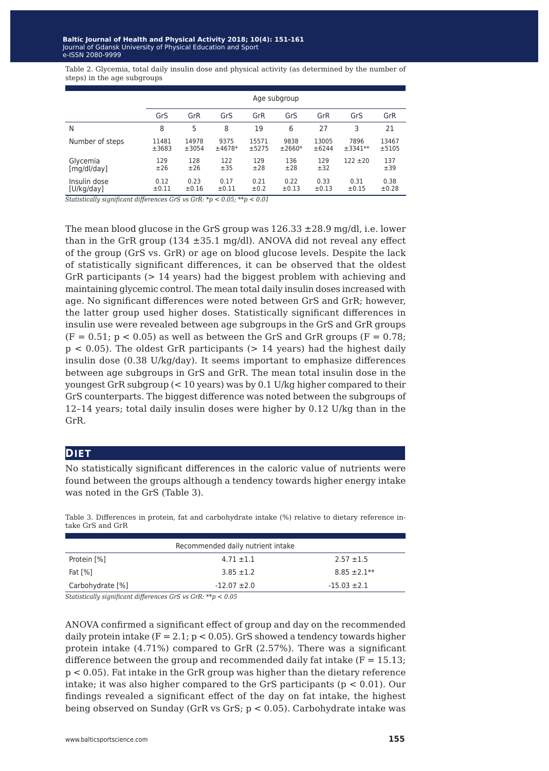Table 2. Glycemia, total daily insulin dose and physical activity (as determined by the number of steps) in the age subgroups

|                 | Age subgroup |            |          |       |            |       |            |       |
|-----------------|--------------|------------|----------|-------|------------|-------|------------|-------|
|                 | GrS          | GrR        | GrS      | GrR   | GrS        | GrR   | GrS        | GrR   |
| N               | 8            | 5          | 8        | 19    | 6          | 27    | 3          | 21    |
| Number of steps | 11481        | 14978      | 9375     | 15571 | 9838       | 13005 | 7896       | 13467 |
|                 | ±3683        | ±3054      | $±4678*$ | ±5275 | $±2660*$   | ±6244 | $±3341**$  | ±5105 |
| Glycemia        | 129          | 128        | 122      | 129   | 136        | 129   | $122 + 20$ | 137   |
| [mq/dl/day]     | ±26          | ±26        | ±35      | ±28   | ±28        | ±32   |            | ±39   |
| Insulin dose    | 0.12         | 0.23       | 0.17     | 0.21  | 0.22       | 0.33  | 0.31       | 0.38  |
| [U/kg/day]      | ±0.11        | $\pm 0.16$ | ±0.11    | ±0.2  | $\pm 0.13$ | ±0.13 | ±0.15      | ±0.28 |

*Statistically significant differences GrS vs GrR: \*p < 0.05; \*\*p < 0.01*

The mean blood glucose in the GrS group was  $126.33 \pm 28.9$  mg/dl, i.e. lower than in the GrR group (134  $\pm$ 35.1 mg/dl). ANOVA did not reveal any effect of the group (GrS vs. GrR) or age on blood glucose levels. Despite the lack of statistically significant differences, it can be observed that the oldest GrR participants (> 14 years) had the biggest problem with achieving and maintaining glycemic control. The mean total daily insulin doses increased with age. No significant differences were noted between GrS and GrR; however, the latter group used higher doses. Statistically significant differences in insulin use were revealed between age subgroups in the GrS and GrR groups  $(F = 0.51; p < 0.05)$  as well as between the GrS and GrR groups  $(F = 0.78;$  $p < 0.05$ ). The oldest GrR participants ( $> 14$  years) had the highest daily insulin dose (0.38 U/kg/day). It seems important to emphasize differences between age subgroups in GrS and GrR. The mean total insulin dose in the youngest GrR subgroup (< 10 years) was by 0.1 U/kg higher compared to their GrS counterparts. The biggest difference was noted between the subgroups of 12–14 years; total daily insulin doses were higher by 0.12 U/kg than in the GrR.

#### **DIET**

No statistically significant differences in the caloric value of nutrients were found between the groups although a tendency towards higher energy intake was noted in the GrS (Table 3).

Table 3. Differences in protein, fat and carbohydrate intake (%) relative to dietary reference intake GrS and GrR

| Recommended daily nutrient intake |                  |                  |  |
|-----------------------------------|------------------|------------------|--|
| Protein [%]                       | $4.71 \pm 1.1$   | $2.57 + 1.5$     |  |
| Fat [%]                           | $3.85 \pm 1.2$   | $8.85 \pm 2.1**$ |  |
| Carbohydrate [%]                  | $-12.07 \pm 2.0$ | $-15.03 \pm 2.1$ |  |

*Statistically significant differences GrS vs GrR: \*\*p < 0.05*

ANOVA confirmed a significant effect of group and day on the recommended daily protein intake ( $F = 2.1$ ;  $p < 0.05$ ). GrS showed a tendency towards higher protein intake (4.71%) compared to GrR (2.57%). There was a significant difference between the group and recommended daily fat intake  $(F = 15.13)$ ; p < 0.05). Fat intake in the GrR group was higher than the dietary reference intake; it was also higher compared to the GrS participants ( $p < 0.01$ ). Our findings revealed a significant effect of the day on fat intake, the highest being observed on Sunday (GrR vs GrS; p < 0.05). Carbohydrate intake was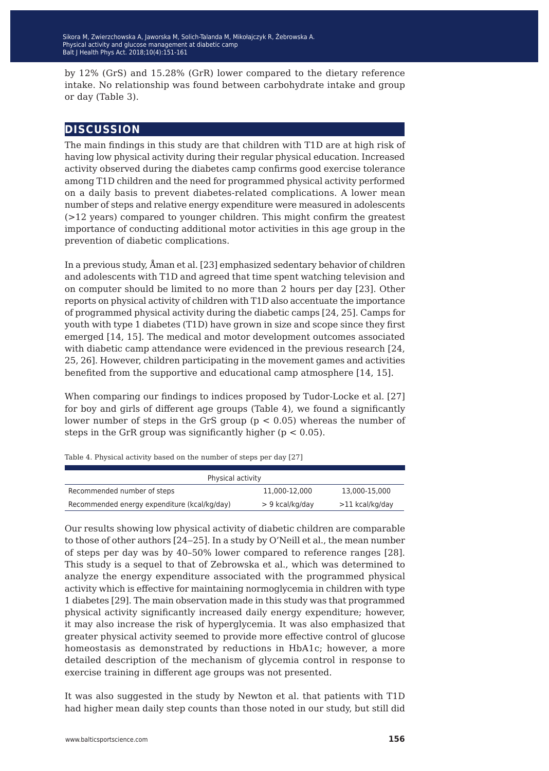by 12% (GrS) and 15.28% (GrR) lower compared to the dietary reference intake. No relationship was found between carbohydrate intake and group or day (Table 3).

## **discussion**

The main findings in this study are that children with T1D are at high risk of having low physical activity during their regular physical education. Increased activity observed during the diabetes camp confirms good exercise tolerance among T1D children and the need for programmed physical activity performed on a daily basis to prevent diabetes-related complications. A lower mean number of steps and relative energy expenditure were measured in adolescents (>12 years) compared to younger children. This might confirm the greatest importance of conducting additional motor activities in this age group in the prevention of diabetic complications.

In a previous study, Åman et al. [23] emphasized sedentary behavior of children and adolescents with T1D and agreed that time spent watching television and on computer should be limited to no more than 2 hours per day [23]. Other reports on physical activity of children with T1D also accentuate the importance of programmed physical activity during the diabetic camps [24, 25]. Camps for youth with type 1 diabetes (T1D) have grown in size and scope since they first emerged [14, 15]. The medical and motor development outcomes associated with diabetic camp attendance were evidenced in the previous research [24, 25, 26]. However, children participating in the movement games and activities benefited from the supportive and educational camp atmosphere [14, 15].

When comparing our findings to indices proposed by Tudor-Locke et al. [27] for boy and girls of different age groups (Table 4), we found a significantly lower number of steps in the GrS group (p < 0.05) whereas the number of steps in the GrR group was significantly higher ( $p < 0.05$ ).

Table 4. Physical activity based on the number of steps per day [27] Physical activity Recommended number of steps 11,000-12,000 13,000-15,000

Recommended energy expenditure (kcal/kg/day) > 9 kcal/kg/day >11 kcal/kg/day

Our results showing low physical activity of diabetic children are comparable to those of other authors [24–25]. In a study by O'Neill et al., the mean number of steps per day was by 40–50% lower compared to reference ranges [28]. This study is a sequel to that of Zebrowska et al., which was determined to analyze the energy expenditure associated with the programmed physical activity which is effective for maintaining normoglycemia in children with type 1 diabetes [29]. The main observation made in this study was that programmed physical activity significantly increased daily energy expenditure; however, it may also increase the risk of hyperglycemia. It was also emphasized that greater physical activity seemed to provide more effective control of glucose homeostasis as demonstrated by reductions in HbA1c; however, a more detailed description of the mechanism of glycemia control in response to exercise training in different age groups was not presented.

It was also suggested in the study by Newton et al. that patients with T1D had higher mean daily step counts than those noted in our study, but still did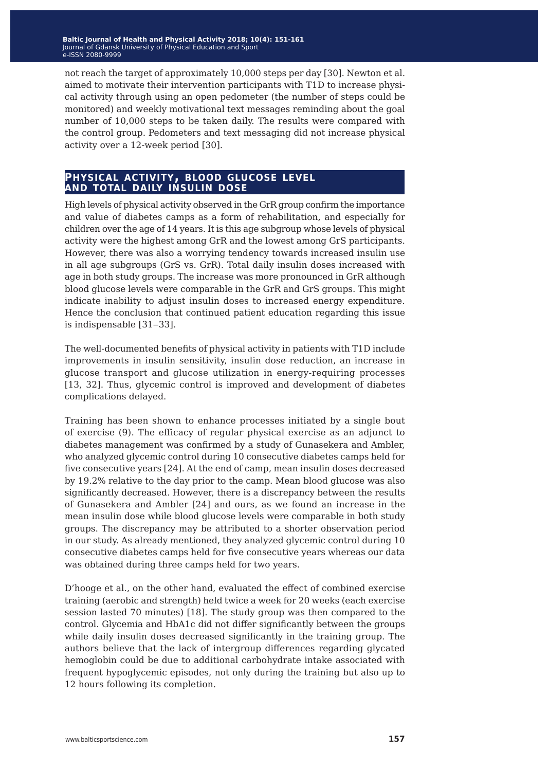not reach the target of approximately 10,000 steps per day [30]. Newton et al. aimed to motivate their intervention participants with T1D to increase physical activity through using an open pedometer (the number of steps could be monitored) and weekly motivational text messages reminding about the goal number of 10,000 steps to be taken daily. The results were compared with the control group. Pedometers and text messaging did not increase physical activity over a 12-week period [30].

## **physical activity, blood glucose level and total daily insulin dose**

High levels of physical activity observed in the GrR group confirm the importance and value of diabetes camps as a form of rehabilitation, and especially for children over the age of 14 years. It is this age subgroup whose levels of physical activity were the highest among GrR and the lowest among GrS participants. However, there was also a worrying tendency towards increased insulin use in all age subgroups (GrS vs. GrR). Total daily insulin doses increased with age in both study groups. The increase was more pronounced in GrR although blood glucose levels were comparable in the GrR and GrS groups. This might indicate inability to adjust insulin doses to increased energy expenditure. Hence the conclusion that continued patient education regarding this issue is indispensable [31‒33].

The well-documented benefits of physical activity in patients with T1D include improvements in insulin sensitivity, insulin dose reduction, an increase in glucose transport and glucose utilization in energy-requiring processes [13, 32]. Thus, glycemic control is improved and development of diabetes complications delayed.

Training has been shown to enhance processes initiated by a single bout of exercise (9). The efficacy of regular physical exercise as an adjunct to diabetes management was confirmed by a study of Gunasekera and Ambler, who analyzed glycemic control during 10 consecutive diabetes camps held for five consecutive years [24]. At the end of camp, mean insulin doses decreased by 19.2% relative to the day prior to the camp. Mean blood glucose was also significantly decreased. However, there is a discrepancy between the results of Gunasekera and Ambler [24] and ours, as we found an increase in the mean insulin dose while blood glucose levels were comparable in both study groups. The discrepancy may be attributed to a shorter observation period in our study. As already mentioned, they analyzed glycemic control during 10 consecutive diabetes camps held for five consecutive years whereas our data was obtained during three camps held for two years.

D'hooge et al., on the other hand, evaluated the effect of combined exercise training (aerobic and strength) held twice a week for 20 weeks (each exercise session lasted 70 minutes) [18]. The study group was then compared to the control. Glycemia and HbA1c did not differ significantly between the groups while daily insulin doses decreased significantly in the training group. The authors believe that the lack of intergroup differences regarding glycated hemoglobin could be due to additional carbohydrate intake associated with frequent hypoglycemic episodes, not only during the training but also up to 12 hours following its completion.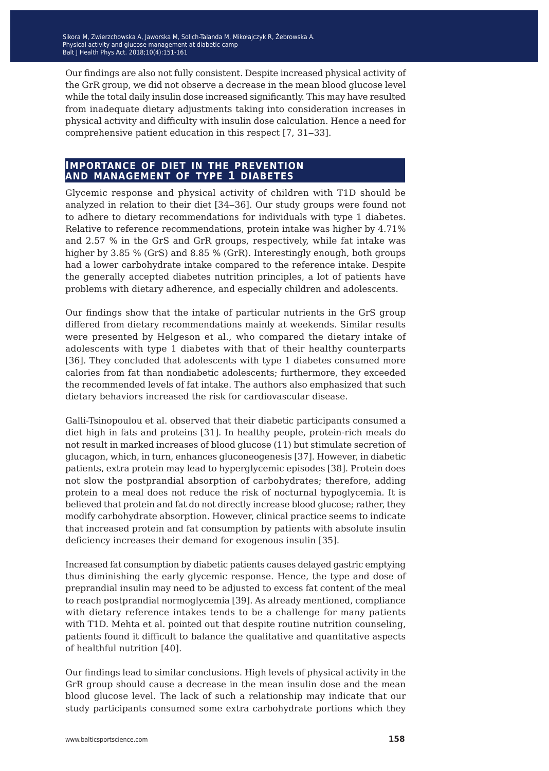Our findings are also not fully consistent. Despite increased physical activity of the GrR group, we did not observe a decrease in the mean blood glucose level while the total daily insulin dose increased significantly. This may have resulted from inadequate dietary adjustments taking into consideration increases in physical activity and difficulty with insulin dose calculation. Hence a need for comprehensive patient education in this respect [7, 31‒33].

#### **importance of diet in the prevention and management of type 1 diabetes**

Glycemic response and physical activity of children with T1D should be analyzed in relation to their diet [34‒36]. Our study groups were found not to adhere to dietary recommendations for individuals with type 1 diabetes. Relative to reference recommendations, protein intake was higher by 4.71% and 2.57 % in the GrS and GrR groups, respectively, while fat intake was higher by 3.85 % (GrS) and 8.85 % (GrR). Interestingly enough, both groups had a lower carbohydrate intake compared to the reference intake. Despite the generally accepted diabetes nutrition principles, a lot of patients have problems with dietary adherence, and especially children and adolescents.

Our findings show that the intake of particular nutrients in the GrS group differed from dietary recommendations mainly at weekends. Similar results were presented by Helgeson et al., who compared the dietary intake of adolescents with type 1 diabetes with that of their healthy counterparts [36]. They concluded that adolescents with type 1 diabetes consumed more calories from fat than nondiabetic adolescents; furthermore, they exceeded the recommended levels of fat intake. The authors also emphasized that such dietary behaviors increased the risk for cardiovascular disease.

Galli-Tsinopoulou et al. observed that their diabetic participants consumed a diet high in fats and proteins [31]. In healthy people, protein-rich meals do not result in marked increases of blood glucose (11) but stimulate secretion of glucagon, which, in turn, enhances gluconeogenesis [37]. However, in diabetic patients, extra protein may lead to hyperglycemic episodes [38]. Protein does not slow the postprandial absorption of carbohydrates; therefore, adding protein to a meal does not reduce the risk of nocturnal hypoglycemia. It is believed that protein and fat do not directly increase blood glucose; rather, they modify carbohydrate absorption. However, clinical practice seems to indicate that increased protein and fat consumption by patients with absolute insulin deficiency increases their demand for exogenous insulin [35].

Increased fat consumption by diabetic patients causes delayed gastric emptying thus diminishing the early glycemic response. Hence, the type and dose of preprandial insulin may need to be adjusted to excess fat content of the meal to reach postprandial normoglycemia [39]. As already mentioned, compliance with dietary reference intakes tends to be a challenge for many patients with T1D. Mehta et al. pointed out that despite routine nutrition counseling, patients found it difficult to balance the qualitative and quantitative aspects of healthful nutrition [40].

Our findings lead to similar conclusions. High levels of physical activity in the GrR group should cause a decrease in the mean insulin dose and the mean blood glucose level. The lack of such a relationship may indicate that our study participants consumed some extra carbohydrate portions which they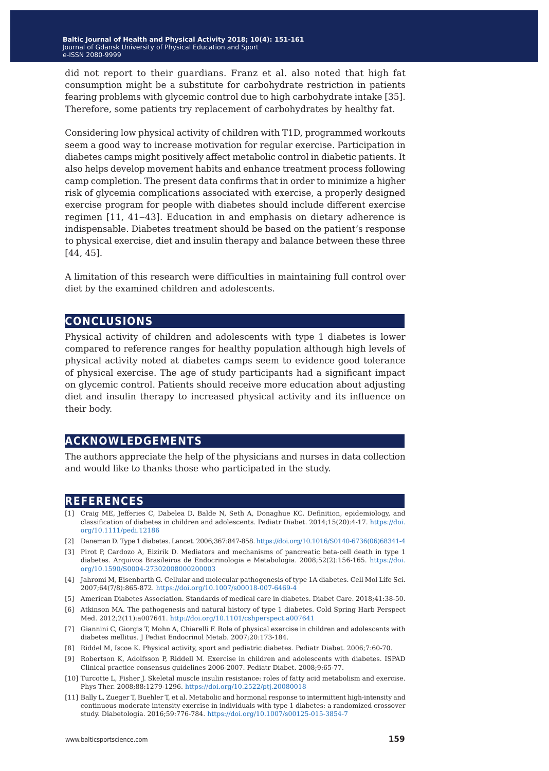did not report to their guardians. Franz et al. also noted that high fat consumption might be a substitute for carbohydrate restriction in patients fearing problems with glycemic control due to high carbohydrate intake [35]. Therefore, some patients try replacement of carbohydrates by healthy fat.

Considering low physical activity of children with T1D, programmed workouts seem a good way to increase motivation for regular exercise. Participation in diabetes camps might positively affect metabolic control in diabetic patients. It also helps develop movement habits and enhance treatment process following camp completion. The present data confirms that in order to minimize a higher risk of glycemia complications associated with exercise, a properly designed exercise program for people with diabetes should include different exercise regimen [11, 41-43]. Education in and emphasis on dietary adherence is indispensable. Diabetes treatment should be based on the patient's response to physical exercise, diet and insulin therapy and balance between these three [44, 45].

A limitation of this research were difficulties in maintaining full control over diet by the examined children and adolescents.

## **conclusions**

Physical activity of children and adolescents with type 1 diabetes is lower compared to reference ranges for healthy population although high levels of physical activity noted at diabetes camps seem to evidence good tolerance of physical exercise. The age of study participants had a significant impact on glycemic control. Patients should receive more education about adjusting diet and insulin therapy to increased physical activity and its influence on their body.

## **acknowledgements**

The authors appreciate the help of the physicians and nurses in data collection and would like to thanks those who participated in the study.

## **references**

- [1] Craig ME, Jefferies C, Dabelea D, Balde N, Seth A, Donaghue KC. Definition, epidemiology, and classification of diabetes in children and adolescents. Pediatr Diabet. 2014;15(20):4-17. [https://doi.](https://doi.org/10.1007/s00125-015-3854-7) [org/10.1111/pedi.12186](https://doi.org/10.1007/s00125-015-3854-7)
- [2] Daneman D. Type 1 diabetes. Lancet. 2006;367:847-858. [https://doi.org/10.1016/S0140-6736\(06\)68341-4](https://doi.org/10.1016/S0140-6736(06)68341-4)
- [3] Pirot P, Cardozo A, Eizirik D. Mediators and mechanisms of pancreatic beta-cell death in type 1 diabetes. Arquivos Brasileiros de Endocrinologia e Metabologia. 2008;52(2):156-165. [https://doi.](https://doi.org/10.1590/S0004-27302008000200003) [org/10.1590/S0004-27302008000200003](https://doi.org/10.1590/S0004-27302008000200003)
- [4] Jahromi M, Eisenbarth G. Cellular and molecular pathogenesis of type 1A diabetes. Cell Mol Life Sci. 2007;64(7/8):865-872.<https://doi.org/10.1007/s00018-007-6469-4>
- [5] American Diabetes Association. Standards of medical care in diabetes. Diabet Care. 2018;41:38-50.
- [6] Atkinson MA. The pathogenesis and natural history of type 1 diabetes. Cold Spring Harb Perspect Med. 2012;2(11):a007641.<http://doi.org/10.1101/cshperspect.a007641>
- [7] Giannini C, Giorgis T, Mohn A, Chiarelli F. Role of physical exercise in children and adolescents with diabetes mellitus. J Pediat Endocrinol Metab. 2007;20:173-184.
- [8] Riddel M, Iscoe K. Physical activity, sport and pediatric diabetes. Pediatr Diabet. 2006;7:60-70.
- [9] Robertson K, Adolfsson P, Riddell M. Exercise in children and adolescents with diabetes. ISPAD Clinical practice consensus guidelines 2006-2007. Pediatr Diabet. 2008;9:65-77.
- [10] Turcotte L, Fisher J. Skeletal muscle insulin resistance: roles of fatty acid metabolism and exercise. Phys Ther. 2008;88:1279-1296. <https://doi.org/10.2522/ptj.20080018>
- [11] Bally L, Zueger T, Buehler T, et al. Metabolic and hormonal response to intermittent high-intensity and continuous moderate intensity exercise in individuals with type 1 diabetes: a randomized crossover study. Diabetologia. 2016;59:776-784. <https://doi.org/10.1007/s00125-015-3854-7>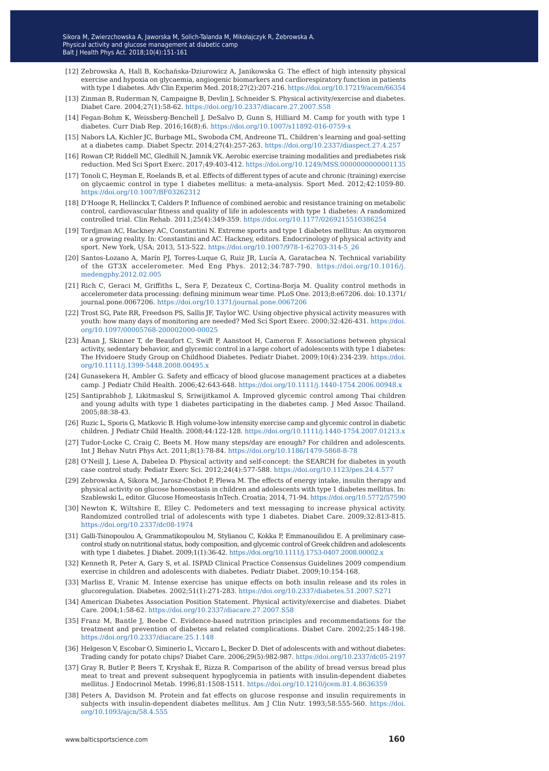- [12] Zebrowska A, Hall B, Kochańska-Dziurowicz A, Janikowska G. The effect of high intensity physical exercise and hypoxia on glycaemia, angiogenic biomarkers and cardiorespiratory function in patients with type 1 diabetes. Adv Clin Experim Med. 2018;27(2):207-216.<https://doi.org/10.17219/acem/66354>
- [13] Zinman B, Ruderman N, Campaigne B, Devlin J, Schneider S. Physical activity/exercise and diabetes. Diabet Care. 2004;27(1):58-62.<https://doi.org/10.2337/diacare.27.2007.S58>
- [14] Fegan-Bohm K, Weissberg-Benchell J, DeSalvo D, Gunn S, Hilliard M. Camp for youth with type 1 diabetes. Curr Diab Rep. 2016;16(8):6. <https://doi.org/10.1007/s11892-016-0759-x>
- [15] Nabors LA, Kichler JC, Burbage ML, Swoboda CM, Andreone TL. Children's learning and goal-setting at a diabetes camp. Diabet Spectr. 2014;27(4):257-263.<https://doi.org/10.2337/diaspect.27.4.257>
- [16] Rowan CP, Riddell MC, Gledhill N, Jamnik VK. Aerobic exercise training modalities and prediabetes risk reduction. Med Sci Sport Exerc. 2017;49:403-412.<https://doi.org/10.1249/MSS.0000000000001135>
- [17] Tonoli C, Heyman E, Roelands B, et al. Effects of different types of acute and chronic (training) exercise on glycaemic control in type 1 diabetes mellitus: a meta-analysis. Sport Med. 2012;42:1059-80. <https://doi.org/10.1007/BF03262312>
- [18] D'Hooge R, Hellinckx T, Calders P. Influence of combined aerobic and resistance training on metabolic control, cardiovascular fitness and quality of life in adolescents with type 1 diabetes: A randomized controlled trial. Clin Rehab. 2011;25(4):349-359. <https://doi.org/10.1177/0269215510386254>
- [19] Tordjman AC, Hackney AC, Constantini N. Extreme sports and type 1 diabetes mellitus: An oxymoron or a growing reality. In: Constantini and AC. Hackney, editors. Endocrinology of physical activity and sport. New York, USA; 2013, 513-522. [https://doi.org/10.1007/978-1-62703-314-5\\_26](https://doi.org/10.1007/978-1-62703-314-5_26)
- [20] Santos-Lozano A, Marín PJ, Torres-Luque G, Ruiz JR, Lucía A, Garatachea N. Technical variability of the GT3X accelerometer. Med Eng Phys. 2012;34:787-790. [https://doi.org/10.1016/j.](https://doi.org/10.1016/j.medengphy.2012.02.005) [medengphy.2012.02.005](https://doi.org/10.1016/j.medengphy.2012.02.005)
- [21] Rich C, Geraci M, Griffiths L, Sera F, Dezateux C, Cortina-Borja M. Quality control methods in accelerometer data processing: defining minimum wear time. PLoS One. 2013;8:e67206. doi: 10.1371/ journal.pone.0067206.<https://doi.org/10.1371/journal.pone.0067206>
- [22] Trost SG, Pate RR, Freedson PS, Sallis JF, Taylor WC. Using objective physical activity measures with youth: how many days of monitoring are needed? Med Sci Sport Exerc. 2000;32:426-431. [https://doi.](https://doi.org/10.1097/00005768-200002000-00025) [org/10.1097/00005768-200002000-00025](https://doi.org/10.1097/00005768-200002000-00025)
- [23] Åman J, Skinner T, de Beaufort C, Swift P, Aanstoot H, Cameron F. Associations between physical activity, sedentary behavior, and glycemic control in a large cohort of adolescents with type 1 diabetes: The Hvidoere Study Group on Childhood Diabetes. Pediatr Diabet. 2009;10(4):234-239. [https://doi.](https://doi.org/10.1111/j.1399-5448.2008.00495.x) [org/10.1111/j.1399-5448.2008.00495.x](https://doi.org/10.1111/j.1399-5448.2008.00495.x)
- [24] Gunasekera H, Ambler G. Safety and efficacy of blood glucose management practices at a diabetes camp. J Pediatr Child Health. 2006;42:643-648. <https://doi.org/10.1111/j.1440-1754.2006.00948.x>
- [25] Santiprabhob J, Likitmaskul S, Sriwijitkamol A. Improved glycemic control among Thai children and young adults with type 1 diabetes participating in the diabetes camp. J Med Assoc Thailand. 2005;88:38-43.
- [26] Ruzic L, Sporis G, Matkovic B. High volume-low intensity exercise camp and glycemic control in diabetic children. J Pediatr Child Health. 2008;44:122-128.<https://doi.org/10.1111/j.1440-1754.2007.01213.x>
- [27] Tudor-Locke C, Craig C, Beets M. How many steps/day are enough? For children and adolescents. Int J Behav Nutri Phys Act. 2011;8(1):78-84.<https://doi.org/10.1186/1479-5868-8-78>
- [28] O'Neill J, Liese A, Dabelea D. Physical activity and self-concept: the SEARCH for diabetes in youth case control study. Pediatr Exerc Sci. 2012;24(4):577-588.<https://doi.org/10.1123/pes.24.4.577>
- [29] Zebrowska A, Sikora M, Jarosz-Chobot P, Plewa M. The effects of energy intake, insulin therapy and physical activity on glucose homeostasis in children and adolescents with type 1 diabetes mellitus. In: Szablewski L, editor. Glucose Homeostasis InTech. Croatia; 2014, 71-94.<https://doi.org/10.5772/57590>
- [30] Newton K, Wiltshire E, Elley C. Pedometers and text messaging to increase physical activity. Randomized controlled trial of adolescents with type 1 diabetes. Diabet Care. 2009;32:813-815. <https://doi.org/10.2337/dc08-1974>
- [31] Galli-Tsinopoulou A, Grammatikopoulou M, Stylianou C, Kokka P, Emmanouilidou E. A preliminary casecontrol study on nutritional status, body composition, and glycemic control of Greek children and adolescents with type 1 diabetes. J Diabet. 2009;1(1):36-42. <https://doi.org/10.1111/j.1753-0407.2008.00002.x>
- [32] Kenneth R, Peter A, Gary S, et al. ISPAD Clinical Practice Consensus Guidelines 2009 compendium exercise in children and adolescents with diabetes. Pediatr Diabet. 2009;10:154-168.
- [33] Marliss E, Vranic M. Intense exercise has unique effects on both insulin release and its roles in glucoregulation. Diabetes. 2002;51(1):271-283. <https://doi.org/10.2337/diabetes.51.2007.S271>
- [34] American Diabetes Association Position Statement. Physical activity/exercise and diabetes. Diabet Care. 2004;1:58-62. <https://doi.org/10.2337/diacare.27.2007.S58>
- [35] Franz M, Bantle J, Beebe C. Evidence-based nutrition principles and recommendations for the treatment and prevention of diabetes and related complications. Diabet Care. 2002;25:148-198. <https://doi.org/10.2337/diacare.25.1.148>
- [36] Helgeson V, Escobar O, Siminerio L, Viccaro L, Becker D. Diet of adolescents with and without diabetes: Trading candy for potato chips? Diabet Care. 2006;29(5):982-987. <https://doi.org/10.2337/dc05-2197>
- [37] Gray R, Butler P, Beers T, Kryshak E, Rizza R. Comparison of the ability of bread versus bread plus meat to treat and prevent subsequent hypoglycemia in patients with insulin-dependent diabetes mellitus. J Endocrinol Metab. 1996;81:1508-1511. <https://doi.org/10.1210/jcem.81.4.8636359>
- [38] Peters A, Davidson M. Protein and fat effects on glucose response and insulin requirements in subjects with insulin-dependent diabetes mellitus. Am J Clin Nutr. 1993;58:555-560. [https://doi.](https://doi.org/10.1093/ajcn/58.4.555) [org/10.1093/ajcn/58.4.555](https://doi.org/10.1093/ajcn/58.4.555)